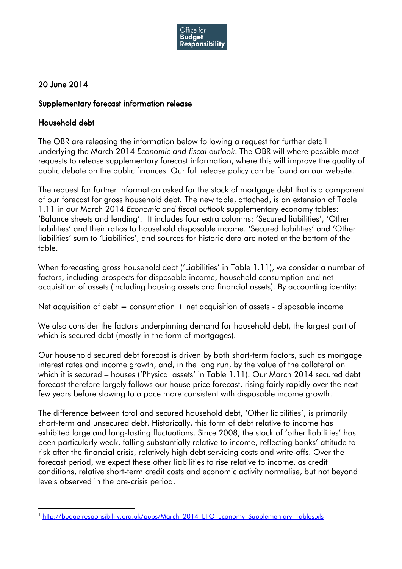

## 20 June 2014

## Supplementary forecast information release

## Household debt

The OBR are releasing the information below following a request for further detail underlying the March 2014 *Economic and fiscal outlook*. The OBR will where possible meet requests to release supplementary forecast information, where this will improve the quality of public debate on the public finances. Our full release policy can be found on our website.

The request for further information asked for the stock of mortgage debt that is a component of our forecast for gross household debt. The new table, attached, is an extension of Table 1.11 in our March 2014 *Economic and fiscal outlook* supplementary economy tables: 'Balance sheets and lending'.<sup>[1](#page-0-0)</sup> It includes four extra columns: 'Secured liabilities', 'Other liabilities' and their ratios to household disposable income. 'Secured liabilities' and 'Other liabilities' sum to 'Liabilities', and sources for historic data are noted at the bottom of the table.

When forecasting gross household debt ('Liabilities' in Table 1.11), we consider a number of factors, including prospects for disposable income, household consumption and net acquisition of assets (including housing assets and financial assets). By accounting identity:

Net acquisition of debt = consumption + net acquisition of assets - disposable income

We also consider the factors underpinning demand for household debt, the largest part of which is secured debt (mostly in the form of mortgages).

Our household secured debt forecast is driven by both short-term factors, such as mortgage interest rates and income growth, and, in the long run, by the value of the collateral on which it is secured – houses ('Physical assets' in Table 1.11). Our March 2014 secured debt forecast therefore largely follows our house price forecast, rising fairly rapidly over the next few years before slowing to a pace more consistent with disposable income growth.

The difference between total and secured household debt, 'Other liabilities', is primarily short-term and unsecured debt. Historically, this form of debt relative to income has exhibited large and long-lasting fluctuations. Since 2008, the stock of 'other liabilities' has been particularly weak, falling substantially relative to income, reflecting banks' attitude to risk after the financial crisis, relatively high debt servicing costs and write-offs. Over the forecast period, we expect these other liabilities to rise relative to income, as credit conditions, relative short-term credit costs and economic activity normalise, but not beyond levels observed in the pre-crisis period.

<span id="page-0-0"></span><sup>1</sup> [http://budgetresponsibility.org.uk/pubs/March\\_2014\\_EFO\\_Economy\\_Supplementary\\_Tables.xls](http://budgetresponsibility.org.uk/pubs/March_2014_EFO_Economy_Supplementary_Tables.xls)